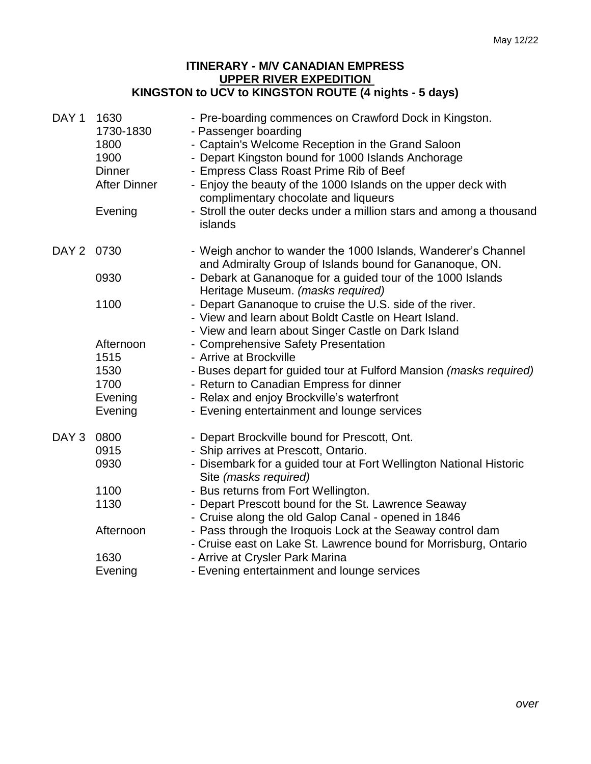## **ITINERARY - M/V CANADIAN EMPRESS UPPER RIVER EXPEDITION KINGSTON to UCV to KINGSTON ROUTE (4 nights - 5 days)**

| DAY <sub>1</sub> | 1630<br>1730-1830<br>1800<br>1900<br><b>Dinner</b><br><b>After Dinner</b><br>Evening | - Pre-boarding commences on Crawford Dock in Kingston.<br>- Passenger boarding<br>- Captain's Welcome Reception in the Grand Saloon<br>- Depart Kingston bound for 1000 Islands Anchorage<br>- Empress Class Roast Prime Rib of Beef<br>- Enjoy the beauty of the 1000 Islands on the upper deck with<br>complimentary chocolate and liqueurs<br>- Stroll the outer decks under a million stars and among a thousand<br>islands |
|------------------|--------------------------------------------------------------------------------------|---------------------------------------------------------------------------------------------------------------------------------------------------------------------------------------------------------------------------------------------------------------------------------------------------------------------------------------------------------------------------------------------------------------------------------|
| DAY 2 0730       |                                                                                      | - Weigh anchor to wander the 1000 Islands, Wanderer's Channel<br>and Admiralty Group of Islands bound for Gananoque, ON.                                                                                                                                                                                                                                                                                                        |
|                  | 0930                                                                                 | - Debark at Gananoque for a guided tour of the 1000 Islands<br>Heritage Museum. (masks required)                                                                                                                                                                                                                                                                                                                                |
|                  | 1100                                                                                 | - Depart Gananoque to cruise the U.S. side of the river.<br>- View and learn about Boldt Castle on Heart Island.<br>- View and learn about Singer Castle on Dark Island                                                                                                                                                                                                                                                         |
|                  | Afternoon                                                                            | - Comprehensive Safety Presentation                                                                                                                                                                                                                                                                                                                                                                                             |
|                  | 1515                                                                                 | - Arrive at Brockville                                                                                                                                                                                                                                                                                                                                                                                                          |
|                  | 1530                                                                                 | - Buses depart for guided tour at Fulford Mansion (masks required)                                                                                                                                                                                                                                                                                                                                                              |
|                  | 1700                                                                                 | - Return to Canadian Empress for dinner                                                                                                                                                                                                                                                                                                                                                                                         |
|                  | Evening                                                                              | - Relax and enjoy Brockville's waterfront                                                                                                                                                                                                                                                                                                                                                                                       |
|                  | Evening                                                                              | - Evening entertainment and lounge services                                                                                                                                                                                                                                                                                                                                                                                     |
| DAY <sub>3</sub> | 0800                                                                                 | - Depart Brockville bound for Prescott, Ont.                                                                                                                                                                                                                                                                                                                                                                                    |
|                  | 0915                                                                                 | - Ship arrives at Prescott, Ontario.                                                                                                                                                                                                                                                                                                                                                                                            |
|                  | 0930                                                                                 | - Disembark for a guided tour at Fort Wellington National Historic<br>Site (masks required)                                                                                                                                                                                                                                                                                                                                     |
|                  | 1100                                                                                 | - Bus returns from Fort Wellington.                                                                                                                                                                                                                                                                                                                                                                                             |
|                  | 1130                                                                                 | - Depart Prescott bound for the St. Lawrence Seaway                                                                                                                                                                                                                                                                                                                                                                             |
|                  |                                                                                      | - Cruise along the old Galop Canal - opened in 1846                                                                                                                                                                                                                                                                                                                                                                             |
|                  | Afternoon                                                                            | - Pass through the Iroquois Lock at the Seaway control dam                                                                                                                                                                                                                                                                                                                                                                      |
|                  |                                                                                      | - Cruise east on Lake St. Lawrence bound for Morrisburg, Ontario                                                                                                                                                                                                                                                                                                                                                                |
|                  | 1630                                                                                 | - Arrive at Crysler Park Marina                                                                                                                                                                                                                                                                                                                                                                                                 |
|                  | Evening                                                                              | - Evening entertainment and lounge services                                                                                                                                                                                                                                                                                                                                                                                     |